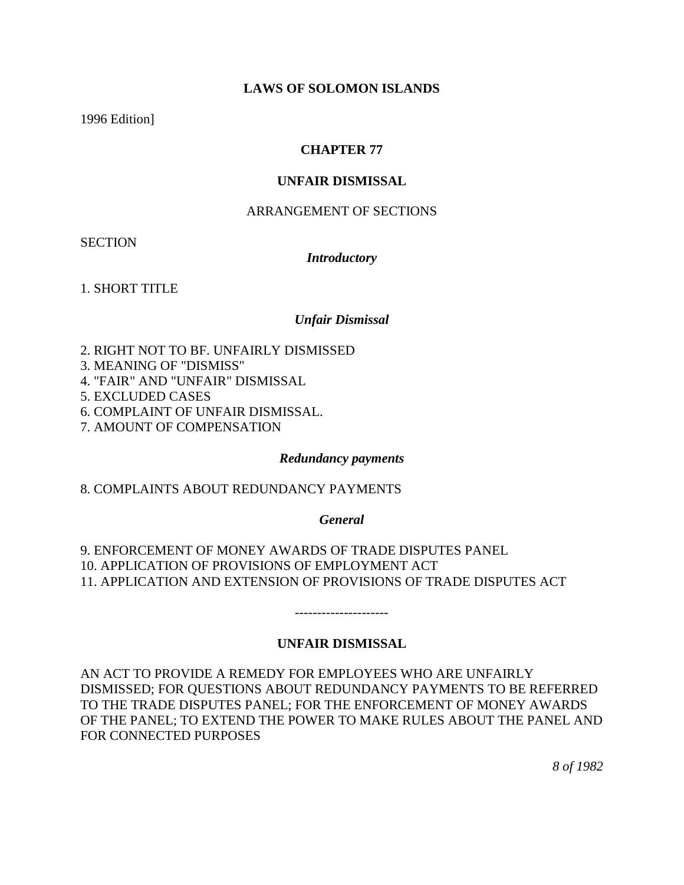### **LAWS OF SOLOMON ISLANDS**

1996 Edition]

## **CHAPTER 77**

### **UNFAIR DISMISSAL**

### ARRANGEMENT OF SECTIONS

**SECTION** 

#### *Introductory*

1. SHORT TITLE

#### *Unfair Dismissal*

2. RIGHT NOT TO BF. UNFAIRLY DISMISSED

3. MEANING OF "DISMISS"

4. "FAIR" AND "UNFAIR" DISMISSAL

5. EXCLUDED CASES

6. COMPLAINT OF UNFAIR DISMISSAL.

7. AMOUNT OF COMPENSATION

#### *Redundancy payments*

8. COMPLAINTS ABOUT REDUNDANCY PAYMENTS

*General*

9. ENFORCEMENT OF MONEY AWARDS OF TRADE DISPUTES PANEL 10. APPLICATION OF PROVISIONS OF EMPLOYMENT ACT 11. APPLICATION AND EXTENSION OF PROVISIONS OF TRADE DISPUTES ACT

# **UNFAIR DISMISSAL**

---------------------

AN ACT TO PROVIDE A REMEDY FOR EMPLOYEES WHO ARE UNFAIRLY DISMISSED; FOR QUESTIONS ABOUT REDUNDANCY PAYMENTS TO BE REFERRED TO THE TRADE DISPUTES PANEL; FOR THE ENFORCEMENT OF MONEY AWARDS OF THE PANEL; TO EXTEND THE POWER TO MAKE RULES ABOUT THE PANEL AND FOR CONNECTED PURPOSES

*8 of 1982*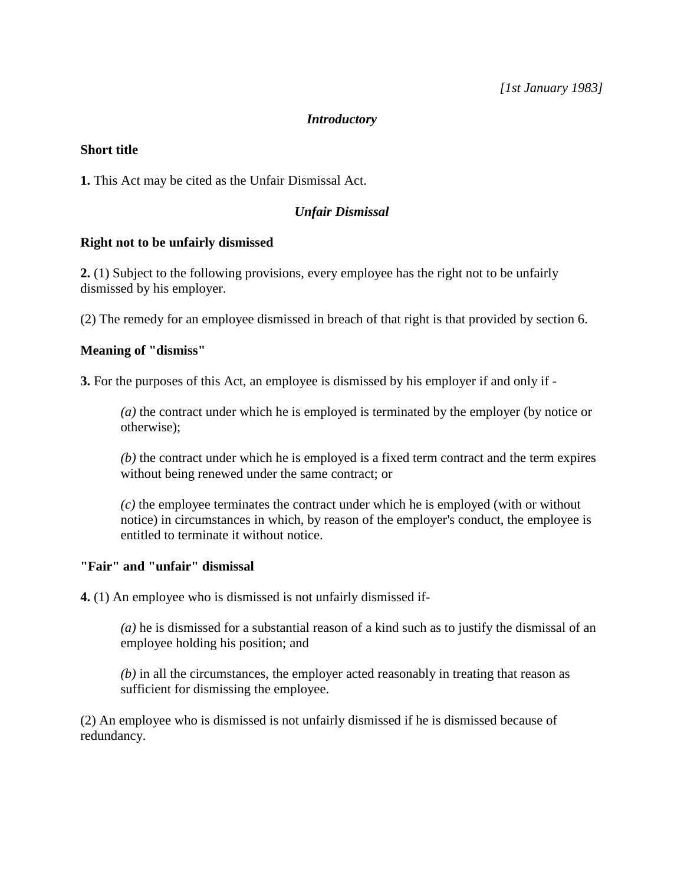### *Introductory*

### **Short title**

**1.** This Act may be cited as the Unfair Dismissal Act.

### *Unfair Dismissal*

#### **Right not to be unfairly dismissed**

**2.** (1) Subject to the following provisions, every employee has the right not to be unfairly dismissed by his employer.

(2) The remedy for an employee dismissed in breach of that right is that provided by section 6.

### **Meaning of "dismiss"**

**3.** For the purposes of this Act, an employee is dismissed by his employer if and only if -

*(a)* the contract under which he is employed is terminated by the employer (by notice or otherwise);

*(b)* the contract under which he is employed is a fixed term contract and the term expires without being renewed under the same contract; or

*(c)* the employee terminates the contract under which he is employed (with or without notice) in circumstances in which, by reason of the employer's conduct, the employee is entitled to terminate it without notice.

### **"Fair" and "unfair" dismissal**

**4.** (1) An employee who is dismissed is not unfairly dismissed if-

*(a)* he is dismissed for a substantial reason of a kind such as to justify the dismissal of an employee holding his position; and

*(b)* in all the circumstances, the employer acted reasonably in treating that reason as sufficient for dismissing the employee.

(2) An employee who is dismissed is not unfairly dismissed if he is dismissed because of redundancy.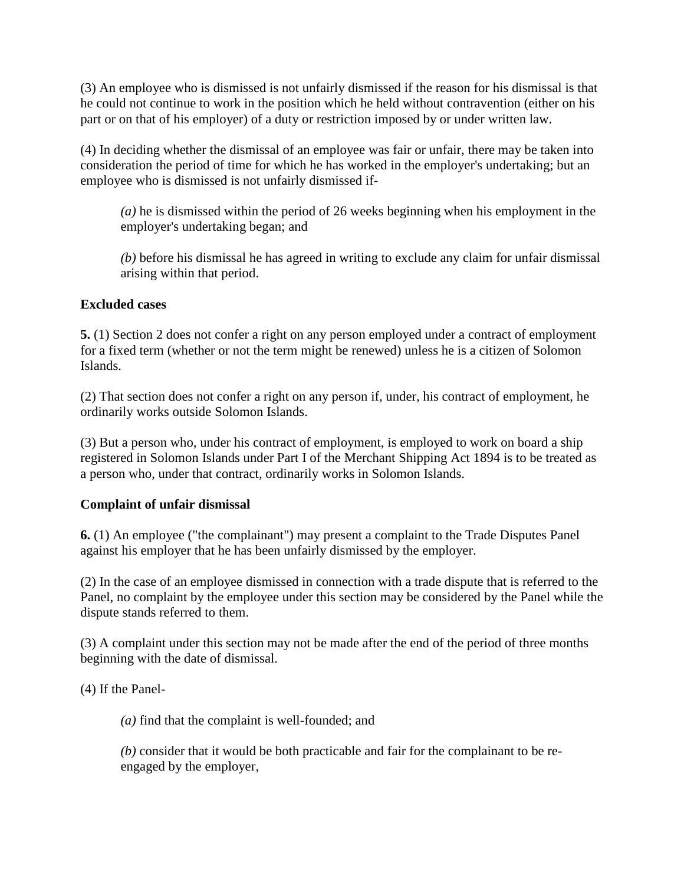(3) An employee who is dismissed is not unfairly dismissed if the reason for his dismissal is that he could not continue to work in the position which he held without contravention (either on his part or on that of his employer) of a duty or restriction imposed by or under written law.

(4) In deciding whether the dismissal of an employee was fair or unfair, there may be taken into consideration the period of time for which he has worked in the employer's undertaking; but an employee who is dismissed is not unfairly dismissed if-

*(a)* he is dismissed within the period of 26 weeks beginning when his employment in the employer's undertaking began; and

*(b)* before his dismissal he has agreed in writing to exclude any claim for unfair dismissal arising within that period.

# **Excluded cases**

**5.** (1) Section 2 does not confer a right on any person employed under a contract of employment for a fixed term (whether or not the term might be renewed) unless he is a citizen of Solomon Islands.

(2) That section does not confer a right on any person if, under, his contract of employment, he ordinarily works outside Solomon Islands.

(3) But a person who, under his contract of employment, is employed to work on board a ship registered in Solomon Islands under Part I of the Merchant Shipping Act 1894 is to be treated as a person who, under that contract, ordinarily works in Solomon Islands.

# **Complaint of unfair dismissal**

**6.** (1) An employee ("the complainant") may present a complaint to the Trade Disputes Panel against his employer that he has been unfairly dismissed by the employer.

(2) In the case of an employee dismissed in connection with a trade dispute that is referred to the Panel, no complaint by the employee under this section may be considered by the Panel while the dispute stands referred to them.

(3) A complaint under this section may not be made after the end of the period of three months beginning with the date of dismissal.

(4) If the Panel-

*(a)* find that the complaint is well-founded; and

*(b)* consider that it would be both practicable and fair for the complainant to be reengaged by the employer,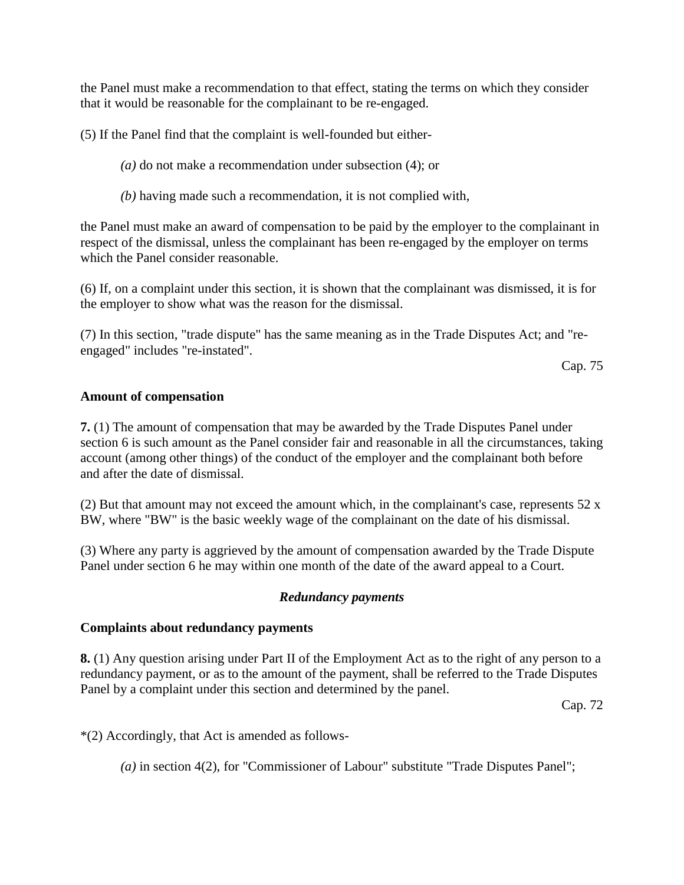the Panel must make a recommendation to that effect, stating the terms on which they consider that it would be reasonable for the complainant to be re-engaged.

(5) If the Panel find that the complaint is well-founded but either-

- *(a)* do not make a recommendation under subsection (4); or
- *(b)* having made such a recommendation, it is not complied with,

the Panel must make an award of compensation to be paid by the employer to the complainant in respect of the dismissal, unless the complainant has been re-engaged by the employer on terms which the Panel consider reasonable.

(6) If, on a complaint under this section, it is shown that the complainant was dismissed, it is for the employer to show what was the reason for the dismissal.

(7) In this section, "trade dispute" has the same meaning as in the Trade Disputes Act; and "reengaged" includes "re-instated".

Cap. 75

### **Amount of compensation**

**7.** (1) The amount of compensation that may be awarded by the Trade Disputes Panel under section 6 is such amount as the Panel consider fair and reasonable in all the circumstances, taking account (among other things) of the conduct of the employer and the complainant both before and after the date of dismissal.

(2) But that amount may not exceed the amount which, in the complainant's case, represents 52 x BW, where "BW" is the basic weekly wage of the complainant on the date of his dismissal.

(3) Where any party is aggrieved by the amount of compensation awarded by the Trade Dispute Panel under section 6 he may within one month of the date of the award appeal to a Court.

# *Redundancy payments*

#### **Complaints about redundancy payments**

**8.** (1) Any question arising under Part II of the Employment Act as to the right of any person to a redundancy payment, or as to the amount of the payment, shall be referred to the Trade Disputes Panel by a complaint under this section and determined by the panel.

Cap. 72

\*(2) Accordingly, that Act is amended as follows-

*(a)* in section 4(2), for "Commissioner of Labour" substitute "Trade Disputes Panel";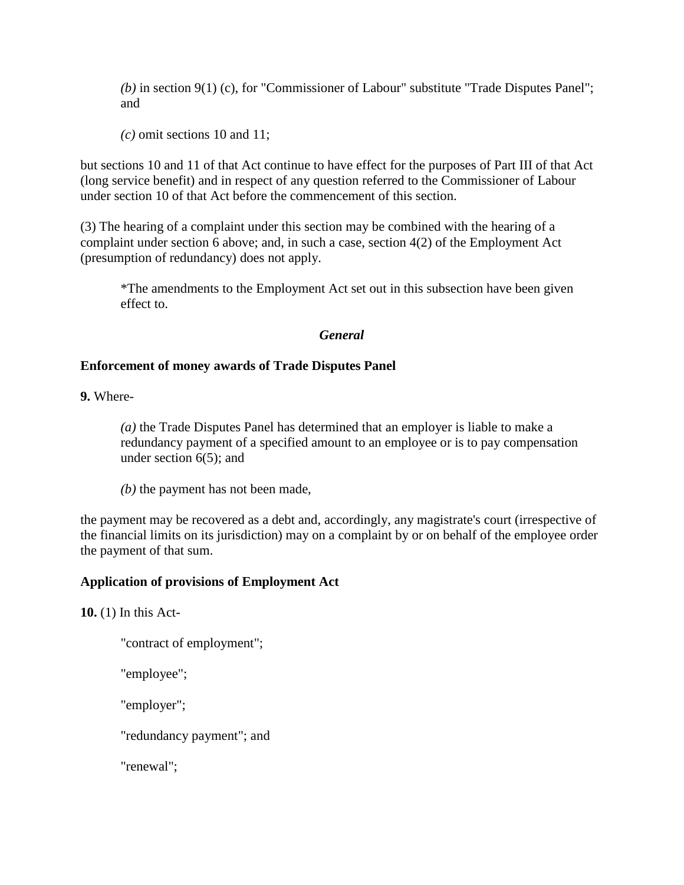*(b)* in section 9(1) (c), for "Commissioner of Labour" substitute "Trade Disputes Panel"; and

*(c)* omit sections 10 and 11;

but sections 10 and 11 of that Act continue to have effect for the purposes of Part III of that Act (long service benefit) and in respect of any question referred to the Commissioner of Labour under section 10 of that Act before the commencement of this section.

(3) The hearing of a complaint under this section may be combined with the hearing of a complaint under section 6 above; and, in such a case, section 4(2) of the Employment Act (presumption of redundancy) does not apply.

\*The amendments to the Employment Act set out in this subsection have been given effect to.

### *General*

### **Enforcement of money awards of Trade Disputes Panel**

**9.** Where-

*(a)* the Trade Disputes Panel has determined that an employer is liable to make a redundancy payment of a specified amount to an employee or is to pay compensation under section 6(5); and

*(b)* the payment has not been made,

the payment may be recovered as a debt and, accordingly, any magistrate's court (irrespective of the financial limits on its jurisdiction) may on a complaint by or on behalf of the employee order the payment of that sum.

#### **Application of provisions of Employment Act**

**10.** (1) In this Act-

"contract of employment";

"employee";

"employer";

"redundancy payment"; and

"renewal";